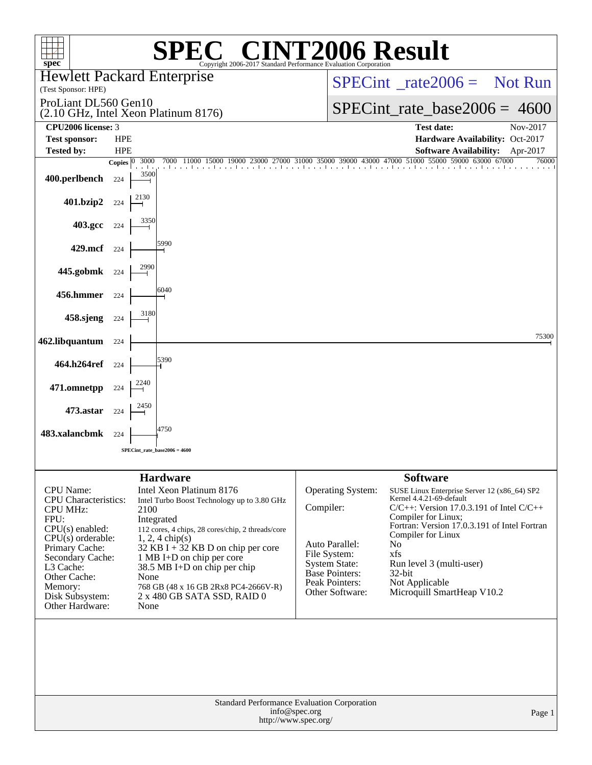| $\mathbb{C}^{\scriptscriptstyle\textcircled{\tiny R}}$ CINT2006 Result<br>spec <sup>®</sup><br>Copyright 2006-2017 Standard Performance Evaluation Corporatio                                                                            |                                                                                                                                                                                                                                                                                                                                                                     |                                |                                                                                                                           |                                                                                                                                                                                                                                                                                                                                          |          |  |  |  |  |
|------------------------------------------------------------------------------------------------------------------------------------------------------------------------------------------------------------------------------------------|---------------------------------------------------------------------------------------------------------------------------------------------------------------------------------------------------------------------------------------------------------------------------------------------------------------------------------------------------------------------|--------------------------------|---------------------------------------------------------------------------------------------------------------------------|------------------------------------------------------------------------------------------------------------------------------------------------------------------------------------------------------------------------------------------------------------------------------------------------------------------------------------------|----------|--|--|--|--|
| (Test Sponsor: HPE)                                                                                                                                                                                                                      | <b>Hewlett Packard Enterprise</b>                                                                                                                                                                                                                                                                                                                                   |                                | $SPECint^{\circ}$ <sub>_rate</sub> 2006 = Not Run                                                                         |                                                                                                                                                                                                                                                                                                                                          |          |  |  |  |  |
| ProLiant DL560 Gen10                                                                                                                                                                                                                     | (2.10 GHz, Intel Xeon Platinum 8176)                                                                                                                                                                                                                                                                                                                                | $SPECint_rate_base2006 = 4600$ |                                                                                                                           |                                                                                                                                                                                                                                                                                                                                          |          |  |  |  |  |
| CPU2006 license: 3                                                                                                                                                                                                                       |                                                                                                                                                                                                                                                                                                                                                                     |                                |                                                                                                                           | <b>Test date:</b>                                                                                                                                                                                                                                                                                                                        | Nov-2017 |  |  |  |  |
| <b>Test sponsor:</b><br><b>Tested by:</b>                                                                                                                                                                                                | <b>HPE</b><br><b>HPE</b>                                                                                                                                                                                                                                                                                                                                            |                                |                                                                                                                           | Hardware Availability: Oct-2017<br><b>Software Availability:</b>                                                                                                                                                                                                                                                                         | Apr-2017 |  |  |  |  |
| 400.perlbench                                                                                                                                                                                                                            | 7000 11000 15000 19000 23000 27000 31000 35000 39000 43000 47000 51000 55000 59000 63000 67000<br>3000<br>Copies $ 0\rangle$<br>3500<br>224                                                                                                                                                                                                                         |                                |                                                                                                                           |                                                                                                                                                                                                                                                                                                                                          | 76000    |  |  |  |  |
| 401.bzip2                                                                                                                                                                                                                                | 224                                                                                                                                                                                                                                                                                                                                                                 |                                |                                                                                                                           |                                                                                                                                                                                                                                                                                                                                          |          |  |  |  |  |
| 403.gcc                                                                                                                                                                                                                                  | 224                                                                                                                                                                                                                                                                                                                                                                 |                                |                                                                                                                           |                                                                                                                                                                                                                                                                                                                                          |          |  |  |  |  |
| 429.mcf                                                                                                                                                                                                                                  | 5990<br>224                                                                                                                                                                                                                                                                                                                                                         |                                |                                                                                                                           |                                                                                                                                                                                                                                                                                                                                          |          |  |  |  |  |
| 445.gobmk                                                                                                                                                                                                                                | 224                                                                                                                                                                                                                                                                                                                                                                 |                                |                                                                                                                           |                                                                                                                                                                                                                                                                                                                                          |          |  |  |  |  |
| 456.hmmer                                                                                                                                                                                                                                | 6040<br>224                                                                                                                                                                                                                                                                                                                                                         |                                |                                                                                                                           |                                                                                                                                                                                                                                                                                                                                          |          |  |  |  |  |
| 458.sjeng                                                                                                                                                                                                                                | 3180<br>224                                                                                                                                                                                                                                                                                                                                                         |                                |                                                                                                                           |                                                                                                                                                                                                                                                                                                                                          |          |  |  |  |  |
| 462.libquantum                                                                                                                                                                                                                           | 224                                                                                                                                                                                                                                                                                                                                                                 |                                |                                                                                                                           |                                                                                                                                                                                                                                                                                                                                          | 75300    |  |  |  |  |
| 464.h264ref                                                                                                                                                                                                                              | 5390<br>224                                                                                                                                                                                                                                                                                                                                                         |                                |                                                                                                                           |                                                                                                                                                                                                                                                                                                                                          |          |  |  |  |  |
| 471.omnetpp                                                                                                                                                                                                                              | 224                                                                                                                                                                                                                                                                                                                                                                 |                                |                                                                                                                           |                                                                                                                                                                                                                                                                                                                                          |          |  |  |  |  |
| 473.astar                                                                                                                                                                                                                                | 224                                                                                                                                                                                                                                                                                                                                                                 |                                |                                                                                                                           |                                                                                                                                                                                                                                                                                                                                          |          |  |  |  |  |
| 483.xalancbmk                                                                                                                                                                                                                            | 4750<br>224                                                                                                                                                                                                                                                                                                                                                         |                                |                                                                                                                           |                                                                                                                                                                                                                                                                                                                                          |          |  |  |  |  |
|                                                                                                                                                                                                                                          | SPECint rate base $2006 = 4600$                                                                                                                                                                                                                                                                                                                                     |                                |                                                                                                                           |                                                                                                                                                                                                                                                                                                                                          |          |  |  |  |  |
|                                                                                                                                                                                                                                          | <b>Hardware</b>                                                                                                                                                                                                                                                                                                                                                     |                                |                                                                                                                           | <b>Software</b>                                                                                                                                                                                                                                                                                                                          |          |  |  |  |  |
| <b>CPU</b> Name:<br><b>CPU</b> Characteristics:<br><b>CPU MHz:</b><br>FPU:<br>$CPU(s)$ enabled:<br>CPU(s) orderable:<br>Primary Cache:<br>Secondary Cache:<br>L3 Cache:<br>Other Cache:<br>Memory:<br>Disk Subsystem:<br>Other Hardware: | Intel Xeon Platinum 8176<br>Intel Turbo Boost Technology up to 3.80 GHz<br>2100<br>Integrated<br>112 cores, 4 chips, 28 cores/chip, 2 threads/core<br>$1, 2, 4$ chip(s)<br>$32$ KB I + 32 KB D on chip per core<br>1 MB I+D on chip per core<br>38.5 MB I+D on chip per chip<br>None<br>768 GB (48 x 16 GB 2Rx8 PC4-2666V-R)<br>2 x 480 GB SATA SSD, RAID 0<br>None | Compiler:<br>File System:      | Operating System:<br>Auto Parallel:<br><b>System State:</b><br><b>Base Pointers:</b><br>Peak Pointers:<br>Other Software: | SUSE Linux Enterprise Server 12 (x86_64) SP2<br>Kernel 4.4.21-69-default<br>$C/C++$ : Version 17.0.3.191 of Intel $C/C++$<br>Compiler for Linux;<br>Fortran: Version 17.0.3.191 of Intel Fortran<br>Compiler for Linux<br>N <sub>o</sub><br>xfs<br>Run level 3 (multi-user)<br>$32$ -bit<br>Not Applicable<br>Microquill SmartHeap V10.2 |          |  |  |  |  |
|                                                                                                                                                                                                                                          | Standard Performance Evaluation Corporation<br>http://www.spec.org/                                                                                                                                                                                                                                                                                                 | info@spec.org                  |                                                                                                                           |                                                                                                                                                                                                                                                                                                                                          | Page 1   |  |  |  |  |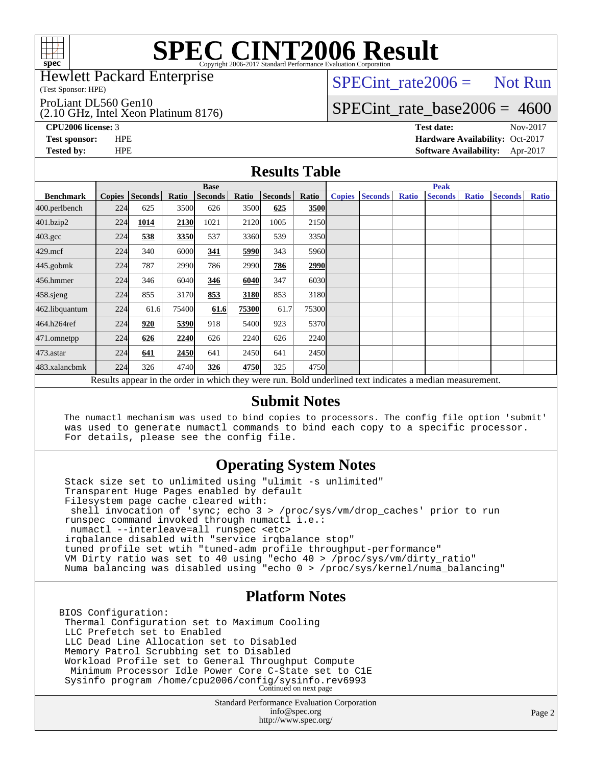

Hewlett Packard Enterprise

(Test Sponsor: HPE)

ProLiant DL560 Gen10

(2.10 GHz, Intel Xeon Platinum 8176)

 $SPECTnt_rate2006 = Not Run$ 

## [SPECint\\_rate\\_base2006 =](http://www.spec.org/auto/cpu2006/Docs/result-fields.html#SPECintratebase2006) 4600

**[CPU2006 license:](http://www.spec.org/auto/cpu2006/Docs/result-fields.html#CPU2006license)** 3 **[Test date:](http://www.spec.org/auto/cpu2006/Docs/result-fields.html#Testdate)** Nov-2017 **[Test sponsor:](http://www.spec.org/auto/cpu2006/Docs/result-fields.html#Testsponsor)** HPE **[Hardware Availability:](http://www.spec.org/auto/cpu2006/Docs/result-fields.html#HardwareAvailability)** Oct-2017 **[Tested by:](http://www.spec.org/auto/cpu2006/Docs/result-fields.html#Testedby)** HPE **[Software Availability:](http://www.spec.org/auto/cpu2006/Docs/result-fields.html#SoftwareAvailability)** Apr-2017

### **[Results Table](http://www.spec.org/auto/cpu2006/Docs/result-fields.html#ResultsTable)**

|                    | <b>Base</b>   |                |       |                |       |         | <b>Peak</b> |               |                |              |                                                                                                          |              |                |              |
|--------------------|---------------|----------------|-------|----------------|-------|---------|-------------|---------------|----------------|--------------|----------------------------------------------------------------------------------------------------------|--------------|----------------|--------------|
| <b>Benchmark</b>   | <b>Copies</b> | <b>Seconds</b> | Ratio | <b>Seconds</b> | Ratio | Seconds | Ratio       | <b>Copies</b> | <b>Seconds</b> | <b>Ratio</b> | <b>Seconds</b>                                                                                           | <b>Ratio</b> | <b>Seconds</b> | <b>Ratio</b> |
| 400.perlbench      | 224           | 625            | 3500  | 626            | 3500  | 625     | 3500        |               |                |              |                                                                                                          |              |                |              |
| 401.bzip2          | 224           | 1014           | 2130  | 1021           | 2120  | 1005    | 2150        |               |                |              |                                                                                                          |              |                |              |
| $403.\mathrm{gcc}$ | 224           | 538            | 3350  | 537            | 3360  | 539     | 3350        |               |                |              |                                                                                                          |              |                |              |
| $429$ .mcf         | 224           | 340            | 6000  | 341            | 5990  | 343     | 5960        |               |                |              |                                                                                                          |              |                |              |
| $445$ .gobm $k$    | 224           | 787            | 2990  | 786            | 2990  | 786     | 2990        |               |                |              |                                                                                                          |              |                |              |
| 456.hmmer          | 224           | 346            | 6040  | 346            | 6040  | 347     | 6030        |               |                |              |                                                                                                          |              |                |              |
| $458$ .sjeng       | 224           | 855            | 3170  | 853            | 3180  | 853     | 3180        |               |                |              |                                                                                                          |              |                |              |
| 462.libquantum     | 224           | 61.6           | 75400 | 61.6           | 75300 | 61.7    | 75300       |               |                |              |                                                                                                          |              |                |              |
| 464.h264ref        | 224           | 920            | 5390  | 918            | 5400  | 923     | 5370        |               |                |              |                                                                                                          |              |                |              |
| 471.omnetpp        | 224           | 626            | 2240  | 626            | 2240  | 626     | 2240        |               |                |              |                                                                                                          |              |                |              |
| 473.astar          | 224           | 641            | 2450  | 641            | 2450  | 641     | 2450        |               |                |              |                                                                                                          |              |                |              |
| 483.xalancbmk      | 224           | 326            | 4740  | 326            | 4750  | 325     | 4750        |               |                |              |                                                                                                          |              |                |              |
|                    |               |                |       |                |       |         |             |               |                |              | Results appear in the order in which they were run. Bold underlined text indicates a median measurement. |              |                |              |

#### **[Submit Notes](http://www.spec.org/auto/cpu2006/Docs/result-fields.html#SubmitNotes)**

 The numactl mechanism was used to bind copies to processors. The config file option 'submit' was used to generate numactl commands to bind each copy to a specific processor. For details, please see the config file.

### **[Operating System Notes](http://www.spec.org/auto/cpu2006/Docs/result-fields.html#OperatingSystemNotes)**

 Stack size set to unlimited using "ulimit -s unlimited" Transparent Huge Pages enabled by default Filesystem page cache cleared with: shell invocation of 'sync; echo 3 > /proc/sys/vm/drop\_caches' prior to run runspec command invoked through numactl i.e.: numactl --interleave=all runspec <etc> irqbalance disabled with "service irqbalance stop" tuned profile set wtih "tuned-adm profile throughput-performance" VM Dirty ratio was set to 40 using "echo 40 > /proc/sys/vm/dirty\_ratio" Numa balancing was disabled using "echo 0 > /proc/sys/kernel/numa\_balancing"

### **[Platform Notes](http://www.spec.org/auto/cpu2006/Docs/result-fields.html#PlatformNotes)**

BIOS Configuration: Thermal Configuration set to Maximum Cooling LLC Prefetch set to Enabled LLC Dead Line Allocation set to Disabled Memory Patrol Scrubbing set to Disabled Workload Profile set to General Throughput Compute Minimum Processor Idle Power Core C-State set to C1E Sysinfo program /home/cpu2006/config/sysinfo.rev6993 Continued on next page

> Standard Performance Evaluation Corporation [info@spec.org](mailto:info@spec.org) <http://www.spec.org/>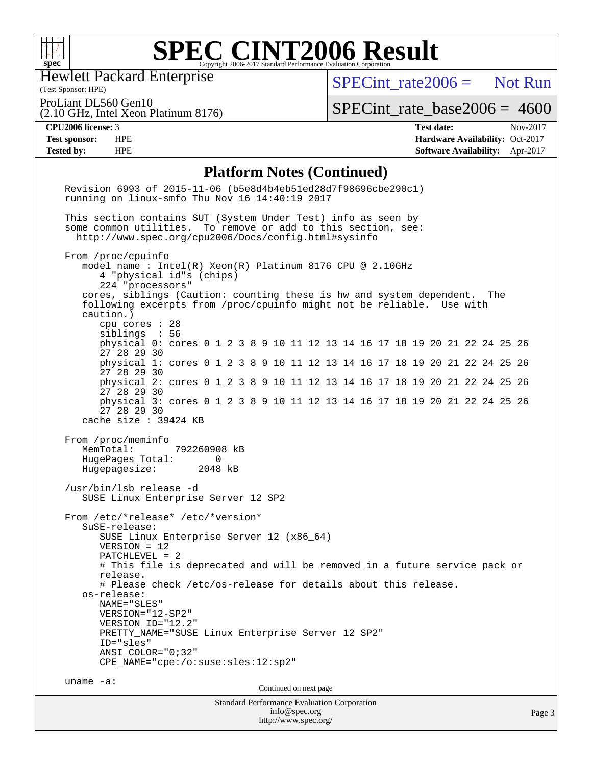

Hewlett Packard Enterprise

(2.10 GHz, Intel Xeon Platinum 8176)

[SPECint\\_rate2006 =](http://www.spec.org/auto/cpu2006/Docs/result-fields.html#SPECintrate2006) Not Run

(Test Sponsor: HPE) ProLiant DL560 Gen10

[SPECint\\_rate\\_base2006 =](http://www.spec.org/auto/cpu2006/Docs/result-fields.html#SPECintratebase2006) 4600

**[CPU2006 license:](http://www.spec.org/auto/cpu2006/Docs/result-fields.html#CPU2006license)** 3 **[Test date:](http://www.spec.org/auto/cpu2006/Docs/result-fields.html#Testdate)** Nov-2017

**[Test sponsor:](http://www.spec.org/auto/cpu2006/Docs/result-fields.html#Testsponsor)** HPE **[Hardware Availability:](http://www.spec.org/auto/cpu2006/Docs/result-fields.html#HardwareAvailability)** Oct-2017 **[Tested by:](http://www.spec.org/auto/cpu2006/Docs/result-fields.html#Testedby)** HPE **[Software Availability:](http://www.spec.org/auto/cpu2006/Docs/result-fields.html#SoftwareAvailability)** Apr-2017

#### **[Platform Notes \(Continued\)](http://www.spec.org/auto/cpu2006/Docs/result-fields.html#PlatformNotes)**

| r iación in 19000 (Continueu)                                                                                                                                                                                                                                                                                                                                                                                                                                                                                                                                                                                                |        |
|------------------------------------------------------------------------------------------------------------------------------------------------------------------------------------------------------------------------------------------------------------------------------------------------------------------------------------------------------------------------------------------------------------------------------------------------------------------------------------------------------------------------------------------------------------------------------------------------------------------------------|--------|
| Revision 6993 of 2015-11-06 (b5e8d4b4eb51ed28d7f98696cbe290c1)<br>running on linux-smfo Thu Nov 16 14:40:19 2017                                                                                                                                                                                                                                                                                                                                                                                                                                                                                                             |        |
| This section contains SUT (System Under Test) info as seen by<br>some common utilities. To remove or add to this section, see:<br>http://www.spec.org/cpu2006/Docs/config.html#sysinfo                                                                                                                                                                                                                                                                                                                                                                                                                                       |        |
| From /proc/cpuinfo<br>model name: $Intel(R)$ Xeon $(R)$ Platinum 8176 CPU @ 2.10GHz<br>4 "physical id"s (chips)<br>224 "processors"<br>cores, siblings (Caution: counting these is hw and system dependent.<br>The<br>following excerpts from /proc/cpuinfo might not be reliable. Use with<br>caution.)<br>cpu cores $: 28$                                                                                                                                                                                                                                                                                                 |        |
| siblings : 56<br>physical 0: cores 0 1 2 3 8 9 10 11 12 13 14 16 17 18 19 20 21 22 24 25 26<br>27 28 29 30                                                                                                                                                                                                                                                                                                                                                                                                                                                                                                                   |        |
| physical 1: cores 0 1 2 3 8 9 10 11 12 13 14 16 17 18 19 20 21 22 24 25 26<br>27 28 29 30                                                                                                                                                                                                                                                                                                                                                                                                                                                                                                                                    |        |
| physical 2: cores 0 1 2 3 8 9 10 11 12 13 14 16 17 18 19 20 21 22 24 25 26<br>27 28 29 30                                                                                                                                                                                                                                                                                                                                                                                                                                                                                                                                    |        |
| physical 3: cores 0 1 2 3 8 9 10 11 12 13 14 16 17 18 19 20 21 22 24 25 26<br>27 28 29 30<br>cache size $: 39424$ KB                                                                                                                                                                                                                                                                                                                                                                                                                                                                                                         |        |
| MemTotal:<br>792260908 kB<br>HugePages_Total:<br>$\Omega$<br>Hugepagesize:<br>2048 kB<br>/usr/bin/lsb_release -d<br>SUSE Linux Enterprise Server 12 SP2<br>From /etc/*release* /etc/*version*<br>$S$ uSE-release:<br>SUSE Linux Enterprise Server 12 (x86_64)<br>$VERSION = 12$<br>$PATCHLEVEL = 2$<br># This file is deprecated and will be removed in a future service pack or<br>release.<br># Please check /etc/os-release for details about this release.<br>os-release:<br>NAME="SLES"<br>VERSION="12-SP2"<br>VERSION ID="12.2"<br>PRETTY_NAME="SUSE Linux Enterprise Server 12 SP2"<br>ID="sles"<br>ANSI COLOR="0;32" |        |
| CPE_NAME="cpe:/o:suse:sles:12:sp2"<br>uname $-a$ :                                                                                                                                                                                                                                                                                                                                                                                                                                                                                                                                                                           |        |
| Continued on next page<br><b>Standard Performance Evaluation Corporation</b>                                                                                                                                                                                                                                                                                                                                                                                                                                                                                                                                                 |        |
| info@spec.org                                                                                                                                                                                                                                                                                                                                                                                                                                                                                                                                                                                                                | Page 3 |

<http://www.spec.org/>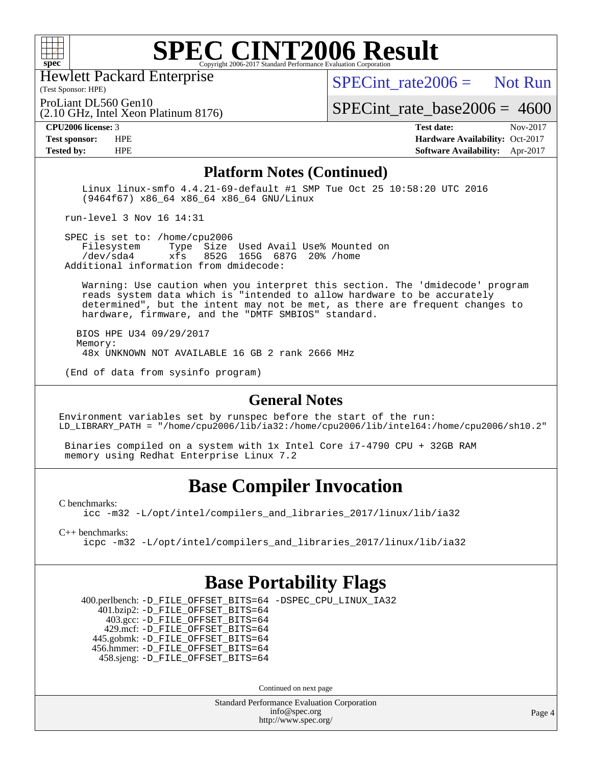

Hewlett Packard Enterprise

(2.10 GHz, Intel Xeon Platinum 8176)

SPECint rate  $2006 =$  Not Run

(Test Sponsor: HPE) ProLiant DL560 Gen10

[SPECint\\_rate\\_base2006 =](http://www.spec.org/auto/cpu2006/Docs/result-fields.html#SPECintratebase2006) 4600

**[CPU2006 license:](http://www.spec.org/auto/cpu2006/Docs/result-fields.html#CPU2006license)** 3 **[Test date:](http://www.spec.org/auto/cpu2006/Docs/result-fields.html#Testdate)** Nov-2017 **[Test sponsor:](http://www.spec.org/auto/cpu2006/Docs/result-fields.html#Testsponsor)** HPE **[Hardware Availability:](http://www.spec.org/auto/cpu2006/Docs/result-fields.html#HardwareAvailability)** Oct-2017 **[Tested by:](http://www.spec.org/auto/cpu2006/Docs/result-fields.html#Testedby)** HPE **[Software Availability:](http://www.spec.org/auto/cpu2006/Docs/result-fields.html#SoftwareAvailability)** Apr-2017

#### **[Platform Notes \(Continued\)](http://www.spec.org/auto/cpu2006/Docs/result-fields.html#PlatformNotes)**

 Linux linux-smfo 4.4.21-69-default #1 SMP Tue Oct 25 10:58:20 UTC 2016 (9464f67) x86\_64 x86\_64 x86\_64 GNU/Linux

run-level 3 Nov 16 14:31

SPEC is set to: /home/cpu2006<br>Filesystem Type Size Type Size Used Avail Use% Mounted on /dev/sda4 xfs 852G 165G 687G 20% /home Additional information from dmidecode:

 Warning: Use caution when you interpret this section. The 'dmidecode' program reads system data which is "intended to allow hardware to be accurately determined", but the intent may not be met, as there are frequent changes to hardware, firmware, and the "DMTF SMBIOS" standard.

 BIOS HPE U34 09/29/2017 Memory: 48x UNKNOWN NOT AVAILABLE 16 GB 2 rank 2666 MHz

(End of data from sysinfo program)

#### **[General Notes](http://www.spec.org/auto/cpu2006/Docs/result-fields.html#GeneralNotes)**

Environment variables set by runspec before the start of the run: LD\_LIBRARY\_PATH = "/home/cpu2006/lib/ia32:/home/cpu2006/lib/intel64:/home/cpu2006/sh10.2"

 Binaries compiled on a system with 1x Intel Core i7-4790 CPU + 32GB RAM memory using Redhat Enterprise Linux 7.2

## **[Base Compiler Invocation](http://www.spec.org/auto/cpu2006/Docs/result-fields.html#BaseCompilerInvocation)**

[C benchmarks](http://www.spec.org/auto/cpu2006/Docs/result-fields.html#Cbenchmarks):

[icc -m32 -L/opt/intel/compilers\\_and\\_libraries\\_2017/linux/lib/ia32](http://www.spec.org/cpu2006/results/res2017q4/cpu2006-20171128-50854.flags.html#user_CCbase_intel_icc_c29f3ff5a7ed067b11e4ec10a03f03ae)

[C++ benchmarks:](http://www.spec.org/auto/cpu2006/Docs/result-fields.html#CXXbenchmarks)

[icpc -m32 -L/opt/intel/compilers\\_and\\_libraries\\_2017/linux/lib/ia32](http://www.spec.org/cpu2006/results/res2017q4/cpu2006-20171128-50854.flags.html#user_CXXbase_intel_icpc_8c35c7808b62dab9ae41a1aa06361b6b)

### **[Base Portability Flags](http://www.spec.org/auto/cpu2006/Docs/result-fields.html#BasePortabilityFlags)**

 400.perlbench: [-D\\_FILE\\_OFFSET\\_BITS=64](http://www.spec.org/cpu2006/results/res2017q4/cpu2006-20171128-50854.flags.html#user_basePORTABILITY400_perlbench_file_offset_bits_64_438cf9856305ebd76870a2c6dc2689ab) [-DSPEC\\_CPU\\_LINUX\\_IA32](http://www.spec.org/cpu2006/results/res2017q4/cpu2006-20171128-50854.flags.html#b400.perlbench_baseCPORTABILITY_DSPEC_CPU_LINUX_IA32) 401.bzip2: [-D\\_FILE\\_OFFSET\\_BITS=64](http://www.spec.org/cpu2006/results/res2017q4/cpu2006-20171128-50854.flags.html#user_basePORTABILITY401_bzip2_file_offset_bits_64_438cf9856305ebd76870a2c6dc2689ab) 403.gcc: [-D\\_FILE\\_OFFSET\\_BITS=64](http://www.spec.org/cpu2006/results/res2017q4/cpu2006-20171128-50854.flags.html#user_basePORTABILITY403_gcc_file_offset_bits_64_438cf9856305ebd76870a2c6dc2689ab) 429.mcf: [-D\\_FILE\\_OFFSET\\_BITS=64](http://www.spec.org/cpu2006/results/res2017q4/cpu2006-20171128-50854.flags.html#user_basePORTABILITY429_mcf_file_offset_bits_64_438cf9856305ebd76870a2c6dc2689ab) 445.gobmk: [-D\\_FILE\\_OFFSET\\_BITS=64](http://www.spec.org/cpu2006/results/res2017q4/cpu2006-20171128-50854.flags.html#user_basePORTABILITY445_gobmk_file_offset_bits_64_438cf9856305ebd76870a2c6dc2689ab) 456.hmmer: [-D\\_FILE\\_OFFSET\\_BITS=64](http://www.spec.org/cpu2006/results/res2017q4/cpu2006-20171128-50854.flags.html#user_basePORTABILITY456_hmmer_file_offset_bits_64_438cf9856305ebd76870a2c6dc2689ab) 458.sjeng: [-D\\_FILE\\_OFFSET\\_BITS=64](http://www.spec.org/cpu2006/results/res2017q4/cpu2006-20171128-50854.flags.html#user_basePORTABILITY458_sjeng_file_offset_bits_64_438cf9856305ebd76870a2c6dc2689ab)

Continued on next page

Standard Performance Evaluation Corporation [info@spec.org](mailto:info@spec.org) <http://www.spec.org/>